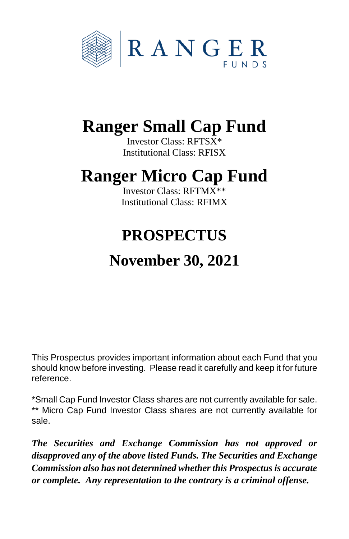

# **Ranger Small Cap Fund**

Investor Class: RFTSX\* Institutional Class: RFISX

# **Ranger Micro Cap Fund**

Investor Class: RFTMX\*\* Institutional Class: RFIMX

# **PROSPECTUS**

# **November 30, 2021**

This Prospectus provides important information about each Fund that you should know before investing. Please read it carefully and keep it for future reference.

\*Small Cap Fund Investor Class shares are not currently available for sale. \*\* Micro Cap Fund Investor Class shares are not currently available for sale.

*The Securities and Exchange Commission has not approved or disapproved any of the above listed Funds. The Securities and Exchange Commission also has not determined whetherthis Prospectusis accurate or complete. Any representation to the contrary is a criminal offense.*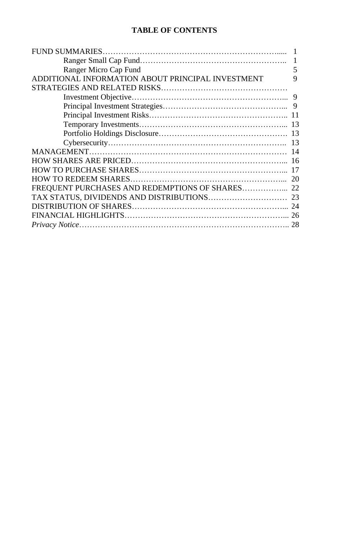## **TABLE OF CONTENTS**

|                                                   | $\mathbf{1}$ |
|---------------------------------------------------|--------------|
| Ranger Micro Cap Fund                             | 5            |
| ADDITIONAL INFORMATION ABOUT PRINCIPAL INVESTMENT | 9            |
|                                                   |              |
|                                                   |              |
|                                                   |              |
|                                                   |              |
|                                                   |              |
|                                                   |              |
|                                                   |              |
|                                                   |              |
|                                                   |              |
|                                                   |              |
|                                                   |              |
|                                                   |              |
|                                                   |              |
|                                                   |              |
|                                                   |              |
|                                                   |              |
|                                                   |              |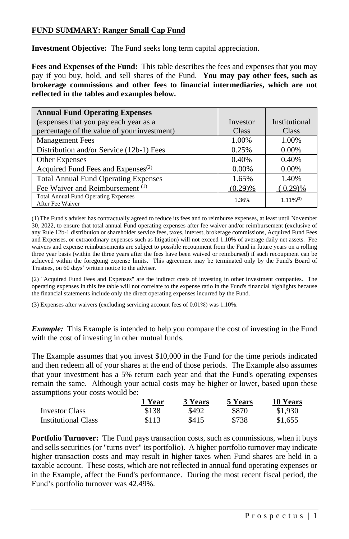## **FUND SUMMARY: Ranger Small Cap Fund**

**Investment Objective:** The Fund seeks long term capital appreciation.

**Fees and Expenses of the Fund:** This table describes the fees and expenses that you may pay if you buy, hold, and sell shares of the Fund. **You may pay other fees, such as brokerage commissions and other fees to financial intermediaries, which are not reflected in the tables and examples below.**

| <b>Annual Fund Operating Expenses</b>                           |          |                |
|-----------------------------------------------------------------|----------|----------------|
| (expenses that you pay each year as a                           | Investor | Institutional  |
| percentage of the value of your investment)                     | Class    | Class          |
| <b>Management Fees</b>                                          | 1.00%    | 1.00%          |
| Distribution and/or Service (12b-1) Fees                        | 0.25%    | 0.00%          |
| <b>Other Expenses</b>                                           | 0.40%    | 0.40%          |
| Acquired Fund Fees and Expenses <sup>(2)</sup>                  | $0.00\%$ | 0.00%          |
| <b>Total Annual Fund Operating Expenses</b>                     | 1.65%    | 1.40%          |
| Fee Waiver and Reimbursement <sup>(1)</sup>                     | (0.29)%  | (0.29)%        |
| <b>Total Annual Fund Operating Expenses</b><br>After Fee Waiver | 1.36%    | $1.11\%^{(3)}$ |

(1)The Fund's adviser has contractually agreed to reduce its fees and to reimburse expenses, at least until November 30, 2022, to ensure that total annual Fund operating expenses after fee waiver and/or reimbursement (exclusive of any Rule 12b-1 distribution or shareholder service fees, taxes, interest, brokerage commissions, Acquired Fund Fees and Expenses, or extraordinary expenses such as litigation) will not exceed 1.10% of average daily net assets. Fee waivers and expense reimbursements are subject to possible recoupment from the Fund in future years on a rolling three year basis (within the three years after the fees have been waived or reimbursed) if such recoupment can be achieved within the foregoing expense limits. This agreement may be terminated only by the Fund's Board of Trustees, on 60 days' written notice to the adviser.

(2) "Acquired Fund Fees and Expenses" are the indirect costs of investing in other investment companies. The operating expenses in this fee table will not correlate to the expense ratio in the Fund's financial highlights because the financial statements include only the direct operating expenses incurred by the Fund.

(3) Expenses after waivers (excluding servicing account fees of 0.01%) was 1.10%.

*Example:* This Example is intended to help you compare the cost of investing in the Fund with the cost of investing in other mutual funds.

The Example assumes that you invest \$10,000 in the Fund for the time periods indicated and then redeem all of your shares at the end of those periods. The Example also assumes that your investment has a 5% return each year and that the Fund's operating expenses remain the same. Although your actual costs may be higher or lower, based upon these assumptions your costs would be:

|                     | 1 Year | 3 Years | 5 Years | 10 Years |
|---------------------|--------|---------|---------|----------|
| Investor Class      | \$138  | \$492   | \$870   | \$1,930  |
| Institutional Class | \$113  | \$415   | \$738   | \$1,655  |

**Portfolio Turnover:** The Fund pays transaction costs, such as commissions, when it buys and sells securities (or "turns over" its portfolio). A higher portfolio turnover may indicate higher transaction costs and may result in higher taxes when Fund shares are held in a taxable account. These costs, which are not reflected in annual fund operating expenses or in the Example, affect the Fund's performance. During the most recent fiscal period, the Fund's portfolio turnover was 42.49%.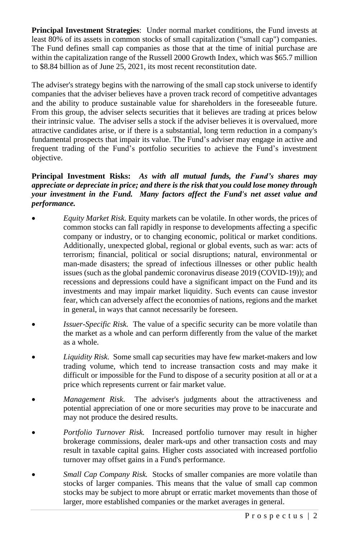**Principal Investment Strategies**: Under normal market conditions, the Fund invests at least 80% of its assets in common stocks of small capitalization ("small cap") companies. The Fund defines small cap companies as those that at the time of initial purchase are within the capitalization range of the Russell 2000 Growth Index, which was \$65.7 million to \$8.84 billion as of June 25, 2021, its most recent reconstitution date.

The adviser's strategy begins with the narrowing of the small cap stock universe to identify companies that the adviser believes have a proven track record of competitive advantages and the ability to produce sustainable value for shareholders in the foreseeable future. From this group, the adviser selects securities that it believes are trading at prices below their intrinsic value. The adviser sells a stock if the adviser believes it is overvalued, more attractive candidates arise, or if there is a substantial, long term reduction in a company's fundamental prospects that impair its value. The Fund's adviser may engage in active and frequent trading of the Fund's portfolio securities to achieve the Fund's investment objective.

## **Principal Investment Risks:** *As with all mutual funds, the Fund's shares may appreciate or depreciate in price; and there is the risk that you could lose money through your investment in the Fund. Many factors affect the Fund's net asset value and performance.*

- *Equity Market Risk.* Equity markets can be volatile. In other words, the prices of common stocks can fall rapidly in response to developments affecting a specific company or industry, or to changing economic, political or market conditions. Additionally, unexpected global, regional or global events, such as war: acts of terrorism; financial, political or social disruptions; natural, environmental or man-made disasters; the spread of infectious illnesses or other public health issues (such as the global pandemic coronavirus disease 2019 (COVID-19)); and recessions and depressions could have a significant impact on the Fund and its investments and may impair market liquidity. Such events can cause investor fear, which can adversely affect the economies of nations, regions and the market in general, in ways that cannot necessarily be foreseen.
- *Issuer-Specific Risk.* The value of a specific security can be more volatile than the market as a whole and can perform differently from the value of the market as a whole.
- *Liquidity Risk.* Some small cap securities may have few market-makers and low trading volume, which tend to increase transaction costs and may make it difficult or impossible for the Fund to dispose of a security position at all or at a price which represents current or fair market value.
- *Management Risk*. The adviser's judgments about the attractiveness and potential appreciation of one or more securities may prove to be inaccurate and may not produce the desired results.
- *Portfolio Turnover Risk.* Increased portfolio turnover may result in higher brokerage commissions, dealer mark-ups and other transaction costs and may result in taxable capital gains. Higher costs associated with increased portfolio turnover may offset gains in a Fund's performance.
- *Small Cap Company Risk.* Stocks of smaller companies are more volatile than stocks of larger companies. This means that the value of small cap common stocks may be subject to more abrupt or erratic market movements than those of larger, more established companies or the market averages in general.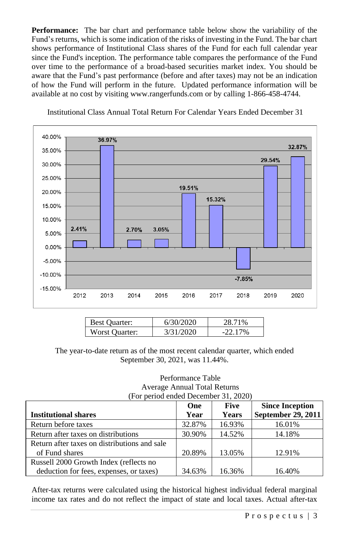**Performance:** The bar chart and performance table below show the variability of the Fund's returns, which is some indication of the risks of investing in the Fund. The bar chart shows performance of Institutional Class shares of the Fund for each full calendar year since the Fund's inception. The performance table compares the performance of the Fund over time to the performance of a broad-based securities market index. You should be aware that the Fund's past performance (before and after taxes) may not be an indication of how the Fund will perform in the future. Updated performance information will be available at no cost by visiting www.rangerfunds.com or by calling 1-866-458-4744.



Institutional Class Annual Total Return For Calendar Years Ended December 31

| <b>Best Quarter:</b> | 6/30/2020 | 71%        |
|----------------------|-----------|------------|
| Worst Ouarter:       | 3/31/2020 | $-22.17\%$ |

The year-to-date return as of the most recent calendar quarter, which ended September 30, 2021, was 11.44%.

#### Performance Table Average Annual Total Returns (For period ended December 31, 2020)

| $\alpha$ or perfourched become $\beta$ 1, 2020) |        |              |                        |
|-------------------------------------------------|--------|--------------|------------------------|
|                                                 | One    | <b>Five</b>  | <b>Since Inception</b> |
| <b>Institutional shares</b>                     | Year   | <b>Years</b> | September 29, 2011     |
| Return before taxes                             | 32.87% | 16.93%       | 16.01%                 |
| Return after taxes on distributions             | 30.90% | 14.52%       | 14.18%                 |
| Return after taxes on distributions and sale    |        |              |                        |
| of Fund shares                                  | 20.89% | 13.05%       | 12.91%                 |
| Russell 2000 Growth Index (reflects no          |        |              |                        |
| deduction for fees, expenses, or taxes)         | 34.63% | 16.36%       | 16.40%                 |

After-tax returns were calculated using the historical highest individual federal marginal income tax rates and do not reflect the impact of state and local taxes. Actual after-tax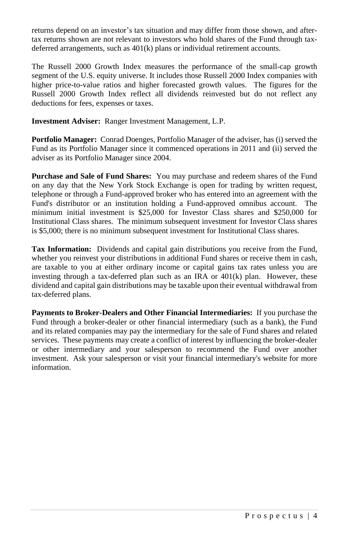returns depend on an investor's tax situation and may differ from those shown, and aftertax returns shown are not relevant to investors who hold shares of the Fund through taxdeferred arrangements, such as 401(k) plans or individual retirement accounts.

The Russell 2000 Growth Index measures the performance of the small-cap growth segment of the U.S. equity universe. It includes those Russell 2000 Index companies with higher price-to-value ratios and higher forecasted growth values. The figures for the Russell 2000 Growth Index reflect all dividends reinvested but do not reflect any deductions for fees, expenses or taxes.

**Investment Adviser:** Ranger Investment Management, L.P.

**Portfolio Manager:** Conrad Doenges, Portfolio Manager of the adviser, has (i) served the Fund as its Portfolio Manager since it commenced operations in 2011 and (ii) served the adviser as its Portfolio Manager since 2004.

**Purchase and Sale of Fund Shares:** You may purchase and redeem shares of the Fund on any day that the New York Stock Exchange is open for trading by written request, telephone or through a Fund-approved broker who has entered into an agreement with the Fund's distributor or an institution holding a Fund-approved omnibus account. The minimum initial investment is \$25,000 for Investor Class shares and \$250,000 for Institutional Class shares. The minimum subsequent investment for Investor Class shares is \$5,000; there is no minimum subsequent investment for Institutional Class shares.

**Tax Information:** Dividends and capital gain distributions you receive from the Fund, whether you reinvest your distributions in additional Fund shares or receive them in cash, are taxable to you at either ordinary income or capital gains tax rates unless you are investing through a tax-deferred plan such as an IRA or  $401(k)$  plan. However, these dividend and capital gain distributions may be taxable upon their eventual withdrawal from tax-deferred plans.

**Payments to Broker-Dealers and Other Financial Intermediaries:** If you purchase the Fund through a broker-dealer or other financial intermediary (such as a bank), the Fund and its related companies may pay the intermediary for the sale of Fund shares and related services. These payments may create a conflict of interest by influencing the broker-dealer or other intermediary and your salesperson to recommend the Fund over another investment. Ask your salesperson or visit your financial intermediary's website for more information.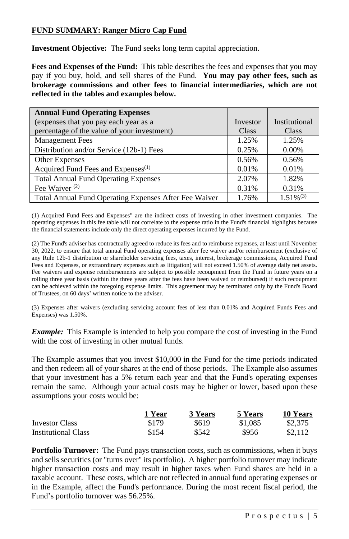## **FUND SUMMARY: Ranger Micro Cap Fund**

**Investment Objective:** The Fund seeks long term capital appreciation.

**Fees and Expenses of the Fund:** This table describes the fees and expenses that you may pay if you buy, hold, and sell shares of the Fund. **You may pay other fees, such as brokerage commissions and other fees to financial intermediaries, which are not reflected in the tables and examples below.**

| <b>Annual Fund Operating Expenses</b>                 |          |                |
|-------------------------------------------------------|----------|----------------|
| (expenses that you pay each year as a                 | Investor | Institutional  |
| percentage of the value of your investment)           | Class    | Class          |
| <b>Management Fees</b>                                | 1.25%    | 1.25%          |
| Distribution and/or Service (12b-1) Fees              | 0.25%    | $0.00\%$       |
| Other Expenses                                        | 0.56%    | 0.56%          |
| Acquired Fund Fees and Expenses <sup>(1)</sup>        | 0.01%    | 0.01%          |
| <b>Total Annual Fund Operating Expenses</b>           | 2.07%    | 1.82%          |
| Fee Waiver <sup>(2)</sup>                             | 0.31%    | 0.31%          |
| Total Annual Fund Operating Expenses After Fee Waiver | 1.76%    | $1.51\%^{(3)}$ |

(1) Acquired Fund Fees and Expenses" are the indirect costs of investing in other investment companies. The operating expenses in this fee table will not correlate to the expense ratio in the Fund's financial highlights because the financial statements include only the direct operating expenses incurred by the Fund.

(2) The Fund's adviser has contractually agreed to reduce its fees and to reimburse expenses, at least until November 30, 2022, to ensure that total annual Fund operating expenses after fee waiver and/or reimbursement (exclusive of any Rule 12b-1 distribution or shareholder servicing fees, taxes, interest, brokerage commissions, Acquired Fund Fees and Expenses, or extraordinary expenses such as litigation) will not exceed 1.50% of average daily net assets. Fee waivers and expense reimbursements are subject to possible recoupment from the Fund in future years on a rolling three year basis (within the three years after the fees have been waived or reimbursed) if such recoupment can be achieved within the foregoing expense limits. This agreement may be terminated only by the Fund's Board of Trustees, on 60 days' written notice to the adviser.

(3) Expenses after waivers (excluding servicing account fees of less than 0.01% and Acquired Funds Fees and Expenses) was 1.50%.

*Example:* This Example is intended to help you compare the cost of investing in the Fund with the cost of investing in other mutual funds.

The Example assumes that you invest \$10,000 in the Fund for the time periods indicated and then redeem all of your shares at the end of those periods. The Example also assumes that your investment has a 5% return each year and that the Fund's operating expenses remain the same. Although your actual costs may be higher or lower, based upon these assumptions your costs would be:

|                            | 1 Year | 3 Years | 5 Years | 10 Years |
|----------------------------|--------|---------|---------|----------|
| <b>Investor Class</b>      | \$179  | \$619   | \$1,085 | \$2,375  |
| <b>Institutional Class</b> | \$154  | \$542   | \$956   | \$2.112  |

**Portfolio Turnover:** The Fund pays transaction costs, such as commissions, when it buys and sells securities (or "turns over" its portfolio). A higher portfolio turnover may indicate higher transaction costs and may result in higher taxes when Fund shares are held in a taxable account. These costs, which are not reflected in annual fund operating expenses or in the Example, affect the Fund's performance. During the most recent fiscal period, the Fund's portfolio turnover was 56.25%.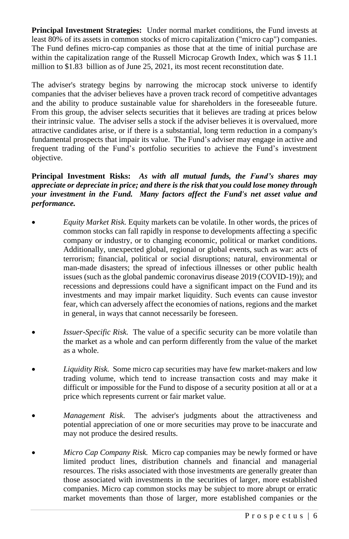**Principal Investment Strategies:** Under normal market conditions, the Fund invests at least 80% of its assets in common stocks of micro capitalization ("micro cap") companies. The Fund defines micro-cap companies as those that at the time of initial purchase are within the capitalization range of the Russell Microcap Growth Index, which was \$11.1 million to \$1.83 billion as of June 25, 2021, its most recent reconstitution date.

The adviser's strategy begins by narrowing the microcap stock universe to identify companies that the adviser believes have a proven track record of competitive advantages and the ability to produce sustainable value for shareholders in the foreseeable future. From this group, the adviser selects securities that it believes are trading at prices below their intrinsic value. The adviser sells a stock if the adviser believes it is overvalued, more attractive candidates arise, or if there is a substantial, long term reduction in a company's fundamental prospects that impair its value. The Fund's adviser may engage in active and frequent trading of the Fund's portfolio securities to achieve the Fund's investment objective.

## **Principal Investment Risks:** *As with all mutual funds, the Fund's shares may appreciate or depreciate in price; and there is the risk that you could lose money through your investment in the Fund. Many factors affect the Fund's net asset value and performance.*

- *Equity Market Risk.* Equity markets can be volatile. In other words, the prices of common stocks can fall rapidly in response to developments affecting a specific company or industry, or to changing economic, political or market conditions. Additionally, unexpected global, regional or global events, such as war: acts of terrorism; financial, political or social disruptions; natural, environmental or man-made disasters; the spread of infectious illnesses or other public health issues (such as the global pandemic coronavirus disease 2019 (COVID-19)); and recessions and depressions could have a significant impact on the Fund and its investments and may impair market liquidity. Such events can cause investor fear, which can adversely affect the economies of nations, regions and the market in general, in ways that cannot necessarily be foreseen.
- *Issuer-Specific Risk.* The value of a specific security can be more volatile than the market as a whole and can perform differently from the value of the market as a whole.
- *Liquidity Risk.* Some micro cap securities may have few market-makers and low trading volume, which tend to increase transaction costs and may make it difficult or impossible for the Fund to dispose of a security position at all or at a price which represents current or fair market value.
- *Management Risk*. The adviser's judgments about the attractiveness and potential appreciation of one or more securities may prove to be inaccurate and may not produce the desired results.
- *Micro Cap Company Risk.* Micro cap companies may be newly formed or have limited product lines, distribution channels and financial and managerial resources. The risks associated with those investments are generally greater than those associated with investments in the securities of larger, more established companies. Micro cap common stocks may be subject to more abrupt or erratic market movements than those of larger, more established companies or the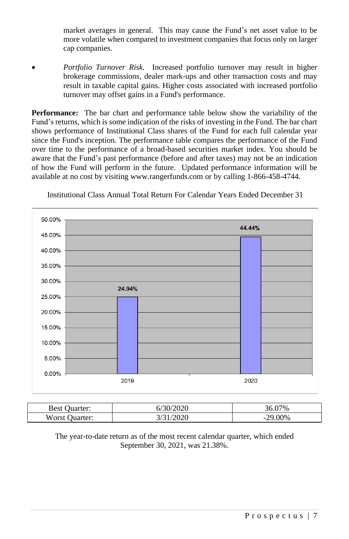market averages in general. This may cause the Fund's net asset value to be more volatile when compared to investment companies that focus only on larger cap companies.

• *Portfolio Turnover Risk.* Increased portfolio turnover may result in higher brokerage commissions, dealer mark-ups and other transaction costs and may result in taxable capital gains. Higher costs associated with increased portfolio turnover may offset gains in a Fund's performance.

**Performance:** The bar chart and performance table below show the variability of the Fund's returns, which is some indication of the risks of investing in the Fund. The bar chart shows performance of Institutional Class shares of the Fund for each full calendar year since the Fund's inception. The performance table compares the performance of the Fund over time to the performance of a broad-based securities market index. You should be aware that the Fund's past performance (before and after taxes) may not be an indication of how the Fund will perform in the future. Updated performance information will be available at no cost by visiting www.rangerfunds.com or by calling 1-866-458-4744.



Institutional Class Annual Total Return For Calendar Years Ended December 31

| n.<br><b>Best</b><br>.                    | 0.0000<br>O/ | 270 <sub>6</sub> |
|-------------------------------------------|--------------|------------------|
| <b>TTT</b><br>$\sim$ 120<br>ter:<br>"UISC | $\Omega$     | 00%<br>-         |

The year-to-date return as of the most recent calendar quarter, which ended September 30, 2021, was 21.38%.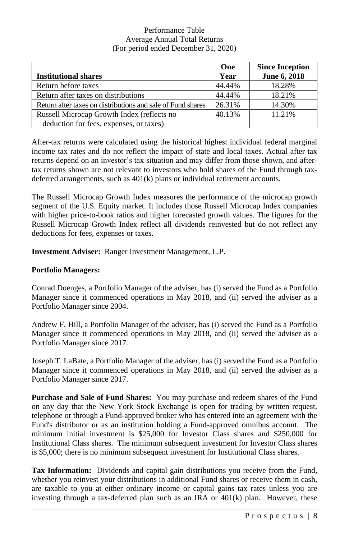#### Performance Table Average Annual Total Returns (For period ended December 31, 2020)

|                                                             | One    | <b>Since Inception</b> |
|-------------------------------------------------------------|--------|------------------------|
| <b>Institutional shares</b>                                 | Year   | June 6, 2018           |
| Return before taxes                                         | 44.44% | 18.28%                 |
| Return after taxes on distributions                         | 44.44% | 18.21%                 |
| Return after taxes on distributions and sale of Fund shares | 26.31% | 14.30%                 |
| Russell Microcap Growth Index (reflects no                  | 40.13% | 11.21%                 |
| deduction for fees, expenses, or taxes)                     |        |                        |

After-tax returns were calculated using the historical highest individual federal marginal income tax rates and do not reflect the impact of state and local taxes. Actual after-tax returns depend on an investor's tax situation and may differ from those shown, and aftertax returns shown are not relevant to investors who hold shares of the Fund through taxdeferred arrangements, such as 401(k) plans or individual retirement accounts.

The Russell Microcap Growth Index measures the performance of the microcap growth segment of the U.S. Equity market. It includes those Russell Microcap Index companies with higher price-to-book ratios and higher forecasted growth values. The figures for the Russell Microcap Growth Index reflect all dividends reinvested but do not reflect any deductions for fees, expenses or taxes.

**Investment Adviser:** Ranger Investment Management, L.P.

#### **Portfolio Managers:**

Conrad Doenges, a Portfolio Manager of the adviser, has (i) served the Fund as a Portfolio Manager since it commenced operations in May 2018, and (ii) served the adviser as a Portfolio Manager since 2004.

Andrew F. Hill, a Portfolio Manager of the adviser, has (i) served the Fund as a Portfolio Manager since it commenced operations in May 2018, and (ii) served the adviser as a Portfolio Manager since 2017.

Joseph T. LaBate, a Portfolio Manager of the adviser, has (i) served the Fund as a Portfolio Manager since it commenced operations in May 2018, and (ii) served the adviser as a Portfolio Manager since 2017.

**Purchase and Sale of Fund Shares:** You may purchase and redeem shares of the Fund on any day that the New York Stock Exchange is open for trading by written request, telephone or through a Fund-approved broker who has entered into an agreement with the Fund's distributor or as an institution holding a Fund-approved omnibus account. The minimum initial investment is \$25,000 for Investor Class shares and \$250,000 for Institutional Class shares. The minimum subsequent investment for Investor Class shares is \$5,000; there is no minimum subsequent investment for Institutional Class shares.

**Tax Information:** Dividends and capital gain distributions you receive from the Fund, whether you reinvest your distributions in additional Fund shares or receive them in cash, are taxable to you at either ordinary income or capital gains tax rates unless you are investing through a tax-deferred plan such as an IRA or  $401(k)$  plan. However, these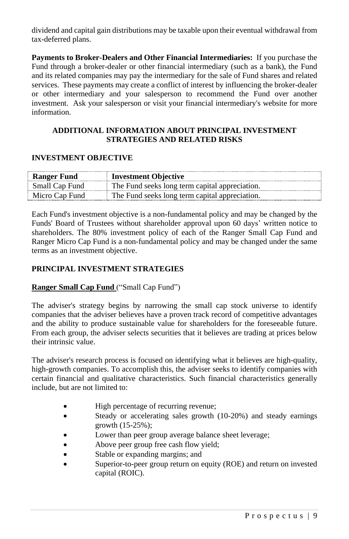dividend and capital gain distributions may be taxable upon their eventual withdrawal from tax-deferred plans.

**Payments to Broker-Dealers and Other Financial Intermediaries:** If you purchase the Fund through a broker-dealer or other financial intermediary (such as a bank), the Fund and its related companies may pay the intermediary for the sale of Fund shares and related services. These payments may create a conflict of interest by influencing the broker-dealer or other intermediary and your salesperson to recommend the Fund over another investment. Ask your salesperson or visit your financial intermediary's website for more information.

### **ADDITIONAL INFORMATION ABOUT PRINCIPAL INVESTMENT STRATEGIES AND RELATED RISKS**

#### **INVESTMENT OBJECTIVE**

| <b>Ranger Fund</b>    | <b>Investment Objective</b>                    |
|-----------------------|------------------------------------------------|
| <b>Small Cap Fund</b> | The Fund seeks long term capital appreciation. |
| Micro Cap Fund        | The Fund seeks long term capital appreciation. |

Each Fund's investment objective is a non-fundamental policy and may be changed by the Funds' Board of Trustees without shareholder approval upon 60 days' written notice to shareholders. The 80% investment policy of each of the Ranger Small Cap Fund and Ranger Micro Cap Fund is a non-fundamental policy and may be changed under the same terms as an investment objective.

## **PRINCIPAL INVESTMENT STRATEGIES**

#### **Ranger Small Cap Fund** ("Small Cap Fund")

The adviser's strategy begins by narrowing the small cap stock universe to identify companies that the adviser believes have a proven track record of competitive advantages and the ability to produce sustainable value for shareholders for the foreseeable future. From each group, the adviser selects securities that it believes are trading at prices below their intrinsic value.

The adviser's research process is focused on identifying what it believes are high-quality, high-growth companies. To accomplish this, the adviser seeks to identify companies with certain financial and qualitative characteristics. Such financial characteristics generally include, but are not limited to:

- High percentage of recurring revenue;
- Steady or accelerating sales growth (10-20%) and steady earnings growth (15-25%);
- Lower than peer group average balance sheet leverage;
- Above peer group free cash flow yield;
- Stable or expanding margins; and
- Superior-to-peer group return on equity (ROE) and return on invested capital (ROIC).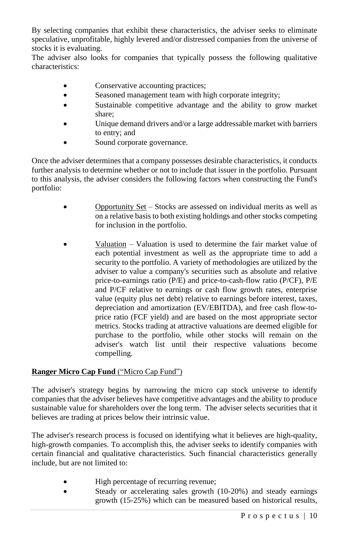By selecting companies that exhibit these characteristics, the adviser seeks to eliminate speculative, unprofitable, highly levered and/or distressed companies from the universe of stocks it is evaluating.

The adviser also looks for companies that typically possess the following qualitative characteristics:

- Conservative accounting practices;
- Seasoned management team with high corporate integrity;
- Sustainable competitive advantage and the ability to grow market share;
- Unique demand drivers and/or a large addressable market with barriers to entry; and
- Sound corporate governance.

Once the adviser determines that a company possesses desirable characteristics, it conducts further analysis to determine whether or not to include that issuer in the portfolio. Pursuant to this analysis, the adviser considers the following factors when constructing the Fund's portfolio:

- Opportunity Set Stocks are assessed on individual merits as well as on a relative basis to both existing holdings and other stocks competing for inclusion in the portfolio.
	- Valuation Valuation is used to determine the fair market value of each potential investment as well as the appropriate time to add a security to the portfolio. A variety of methodologies are utilized by the adviser to value a company's securities such as absolute and relative price-to-earnings ratio (P/E) and price-to-cash-flow ratio (P/CF), P/E and P/CF relative to earnings or cash flow growth rates, enterprise value (equity plus net debt) relative to earnings before interest, taxes, depreciation and amortization (EV/EBITDA), and free cash flow-toprice ratio (FCF yield) and are based on the most appropriate sector metrics. Stocks trading at attractive valuations are deemed eligible for purchase to the portfolio, while other stocks will remain on the adviser's watch list until their respective valuations become compelling.

## **Ranger Micro Cap Fund** ("Micro Cap Fund")

The adviser's strategy begins by narrowing the micro cap stock universe to identify companies that the adviser believes have competitive advantages and the ability to produce sustainable value for shareholders over the long term. The adviser selects securities that it believes are trading at prices below their intrinsic value.

The adviser's research process is focused on identifying what it believes are high-quality, high-growth companies. To accomplish this, the adviser seeks to identify companies with certain financial and qualitative characteristics. Such financial characteristics generally include, but are not limited to:

- High percentage of recurring revenue;
- Steady or accelerating sales growth (10-20%) and steady earnings growth (15-25%) which can be measured based on historical results,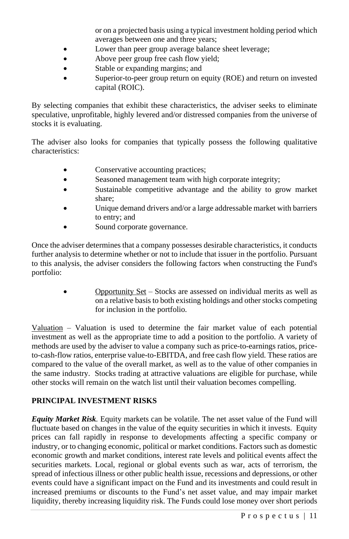or on a projected basis using a typical investment holding period which averages between one and three years;

- Lower than peer group average balance sheet leverage;
- Above peer group free cash flow yield;
- Stable or expanding margins; and
- Superior-to-peer group return on equity (ROE) and return on invested capital (ROIC).

By selecting companies that exhibit these characteristics, the adviser seeks to eliminate speculative, unprofitable, highly levered and/or distressed companies from the universe of stocks it is evaluating.

The adviser also looks for companies that typically possess the following qualitative characteristics:

- Conservative accounting practices;
- Seasoned management team with high corporate integrity;
- Sustainable competitive advantage and the ability to grow market share;
- Unique demand drivers and/or a large addressable market with barriers to entry; and
- Sound corporate governance.

Once the adviser determines that a company possesses desirable characteristics, it conducts further analysis to determine whether or not to include that issuer in the portfolio. Pursuant to this analysis, the adviser considers the following factors when constructing the Fund's portfolio:

> • Opportunity Set – Stocks are assessed on individual merits as well as on a relative basis to both existing holdings and other stocks competing for inclusion in the portfolio.

Valuation – Valuation is used to determine the fair market value of each potential investment as well as the appropriate time to add a position to the portfolio. A variety of methods are used by the adviser to value a company such as price-to-earnings ratios, priceto-cash-flow ratios, enterprise value-to-EBITDA, and free cash flow yield. These ratios are compared to the value of the overall market, as well as to the value of other companies in the same industry. Stocks trading at attractive valuations are eligible for purchase, while other stocks will remain on the watch list until their valuation becomes compelling.

## **PRINCIPAL INVESTMENT RISKS**

*Equity Market Risk.* Equity markets can be volatile. The net asset value of the Fund will fluctuate based on changes in the value of the equity securities in which it invests. Equity prices can fall rapidly in response to developments affecting a specific company or industry, or to changing economic, political or market conditions. Factors such as domestic economic growth and market conditions, interest rate levels and political events affect the securities markets. Local, regional or global events such as war, acts of terrorism, the spread of infectious illness or other public health issue, recessions and depressions, or other events could have a significant impact on the Fund and its investments and could result in increased premiums or discounts to the Fund's net asset value, and may impair market liquidity, thereby increasing liquidity risk. The Funds could lose money over short periods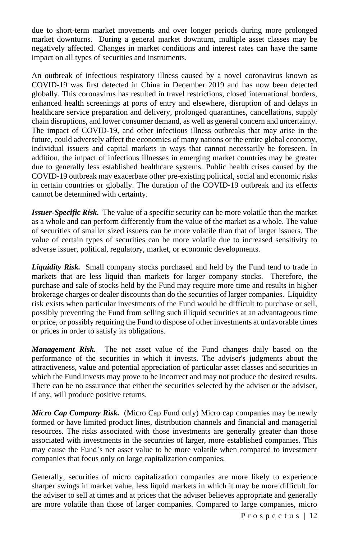due to short-term market movements and over longer periods during more prolonged market downturns. During a general market downturn, multiple asset classes may be negatively affected. Changes in market conditions and interest rates can have the same impact on all types of securities and instruments.

An outbreak of infectious respiratory illness caused by a novel coronavirus known as COVID-19 was first detected in China in December 2019 and has now been detected globally. This coronavirus has resulted in travel restrictions, closed international borders, enhanced health screenings at ports of entry and elsewhere, disruption of and delays in healthcare service preparation and delivery, prolonged quarantines, cancellations, supply chain disruptions, and lower consumer demand, as well as general concern and uncertainty. The impact of COVID-19, and other infectious illness outbreaks that may arise in the future, could adversely affect the economies of many nations or the entire global economy, individual issuers and capital markets in ways that cannot necessarily be foreseen. In addition, the impact of infectious illnesses in emerging market countries may be greater due to generally less established healthcare systems. Public health crises caused by the COVID-19 outbreak may exacerbate other pre-existing political, social and economic risks in certain countries or globally. The duration of the COVID-19 outbreak and its effects cannot be determined with certainty.

**Issuer-Specific Risk.** The value of a specific security can be more volatile than the market as a whole and can perform differently from the value of the market as a whole. The value of securities of smaller sized issuers can be more volatile than that of larger issuers. The value of certain types of securities can be more volatile due to increased sensitivity to adverse issuer, political, regulatory, market, or economic developments.

*Liquidity Risk.*Small company stocks purchased and held by the Fund tend to trade in markets that are less liquid than markets for larger company stocks. Therefore, the purchase and sale of stocks held by the Fund may require more time and results in higher brokerage charges or dealer discounts than do the securities of larger companies. Liquidity risk exists when particular investments of the Fund would be difficult to purchase or sell, possibly preventing the Fund from selling such illiquid securities at an advantageous time or price, or possibly requiring the Fund to dispose of other investments at unfavorable times or prices in order to satisfy its obligations.

*Management Risk.* The net asset value of the Fund changes daily based on the performance of the securities in which it invests. The adviser's judgments about the attractiveness, value and potential appreciation of particular asset classes and securities in which the Fund invests may prove to be incorrect and may not produce the desired results. There can be no assurance that either the securities selected by the adviser or the adviser, if any, will produce positive returns.

*Micro Cap Company Risk.* (Micro Cap Fund only) Micro cap companies may be newly formed or have limited product lines, distribution channels and financial and managerial resources. The risks associated with those investments are generally greater than those associated with investments in the securities of larger, more established companies. This may cause the Fund's net asset value to be more volatile when compared to investment companies that focus only on large capitalization companies.

Generally, securities of micro capitalization companies are more likely to experience sharper swings in market value, less liquid markets in which it may be more difficult for the adviser to sell at times and at prices that the adviser believes appropriate and generally are more volatile than those of larger companies. Compared to large companies, micro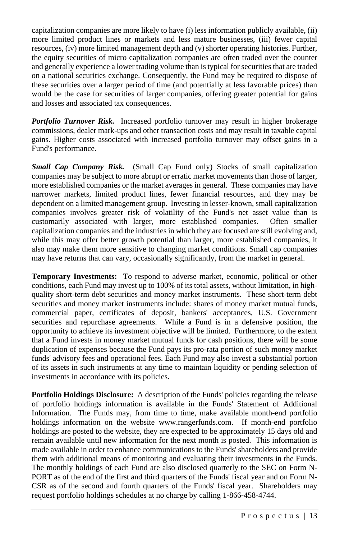capitalization companies are more likely to have (i) less information publicly available, (ii) more limited product lines or markets and less mature businesses, (iii) fewer capital resources, (iv) more limited management depth and (v) shorter operating histories. Further, the equity securities of micro capitalization companies are often traded over the counter and generally experience a lower trading volume than istypical forsecuritiesthat are traded on a national securities exchange. Consequently, the Fund may be required to dispose of these securities over a larger period of time (and potentially at less favorable prices) than would be the case for securities of larger companies, offering greater potential for gains and losses and associated tax consequences.

*Portfolio Turnover Risk.* Increased portfolio turnover may result in higher brokerage commissions, dealer mark-ups and other transaction costs and may result in taxable capital gains. Higher costs associated with increased portfolio turnover may offset gains in a Fund's performance.

*Small Cap Company Risk.*(Small Cap Fund only) Stocks of small capitalization companies may be subject to more abrupt or erratic market movements than those of larger, more established companies or the market averages in general. These companies may have narrower markets, limited product lines, fewer financial resources, and they may be dependent on a limited management group. Investing in lesser-known, small capitalization companies involves greater risk of volatility of the Fund's net asset value than is customarily associated with larger, more established companies. Often smaller capitalization companies and the industries in which they are focused are still evolving and, while this may offer better growth potential than larger, more established companies, it also may make them more sensitive to changing market conditions. Small cap companies may have returns that can vary, occasionally significantly, from the market in general.

**Temporary Investments:** To respond to adverse market, economic, political or other conditions, each Fund may invest up to 100% of its total assets, without limitation, in highquality short-term debt securities and money market instruments. These short-term debt securities and money market instruments include: shares of money market mutual funds, commercial paper, certificates of deposit, bankers' acceptances, U.S. Government securities and repurchase agreements. While a Fund is in a defensive position, the opportunity to achieve its investment objective will be limited. Furthermore, to the extent that a Fund invests in money market mutual funds for cash positions, there will be some duplication of expenses because the Fund pays its pro-rata portion of such money market funds' advisory fees and operational fees. Each Fund may also invest a substantial portion of its assets in such instruments at any time to maintain liquidity or pending selection of investments in accordance with its policies.

**Portfolio Holdings Disclosure:** A description of the Funds' policies regarding the release of portfolio holdings information is available in the Funds' Statement of Additional Information. The Funds may, from time to time, make available month-end portfolio holdings information on the website www.rangerfunds.com. If month-end portfolio holdings are posted to the website, they are expected to be approximately 15 days old and remain available until new information for the next month is posted. This information is made available in order to enhance communications to the Funds' shareholders and provide them with additional means of monitoring and evaluating their investments in the Funds. The monthly holdings of each Fund are also disclosed quarterly to the SEC on Form N-PORT as of the end of the first and third quarters of the Funds' fiscal year and on Form N-CSR as of the second and fourth quarters of the Funds' fiscal year. Shareholders may request portfolio holdings schedules at no charge by calling 1-866-458-4744.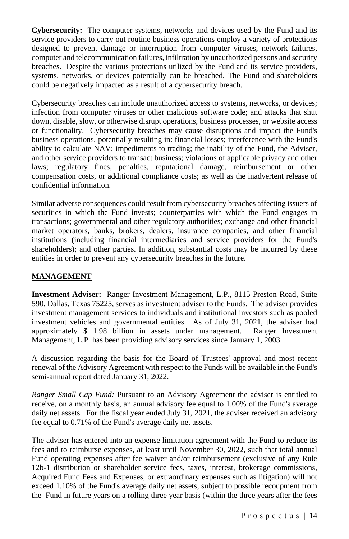**Cybersecurity:** The computer systems, networks and devices used by the Fund and its service providers to carry out routine business operations employ a variety of protections designed to prevent damage or interruption from computer viruses, network failures, computer and telecommunication failures, infiltration by unauthorized persons and security breaches. Despite the various protections utilized by the Fund and its service providers, systems, networks, or devices potentially can be breached. The Fund and shareholders could be negatively impacted as a result of a cybersecurity breach.

Cybersecurity breaches can include unauthorized access to systems, networks, or devices; infection from computer viruses or other malicious software code; and attacks that shut down, disable, slow, or otherwise disrupt operations, business processes, or website access or functionality. Cybersecurity breaches may cause disruptions and impact the Fund's business operations, potentially resulting in: financial losses; interference with the Fund's ability to calculate NAV; impediments to trading; the inability of the Fund, the Adviser, and other service providers to transact business; violations of applicable privacy and other laws; regulatory fines, penalties, reputational damage, reimbursement or other compensation costs, or additional compliance costs; as well as the inadvertent release of confidential information.

Similar adverse consequences could result from cybersecurity breaches affecting issuers of securities in which the Fund invests; counterparties with which the Fund engages in transactions; governmental and other regulatory authorities; exchange and other financial market operators, banks, brokers, dealers, insurance companies, and other financial institutions (including financial intermediaries and service providers for the Fund's shareholders); and other parties. In addition, substantial costs may be incurred by these entities in order to prevent any cybersecurity breaches in the future.

## **MANAGEMENT**

**Investment Adviser:** Ranger Investment Management, L.P., 8115 Preston Road, Suite 590, Dallas, Texas 75225, serves as investment adviser to the Funds. The adviser provides investment management services to individuals and institutional investors such as pooled investment vehicles and governmental entities. As of July 31, 2021, the adviser had approximately \$ 1.98 billion in assets under management. Ranger Investment Management, L.P. has been providing advisory services since January 1, 2003.

A discussion regarding the basis for the Board of Trustees' approval and most recent renewal of the Advisory Agreement with respect to the Funds will be available in the Fund's semi-annual report dated January 31, 2022.

*Ranger Small Cap Fund:* Pursuant to an Advisory Agreement the adviser is entitled to receive, on a monthly basis, an annual advisory fee equal to 1.00% of the Fund's average daily net assets. For the fiscal year ended July 31, 2021, the adviser received an advisory fee equal to 0.71% of the Fund's average daily net assets.

The adviser has entered into an expense limitation agreement with the Fund to reduce its fees and to reimburse expenses, at least until November 30, 2022, such that total annual Fund operating expenses after fee waiver and/or reimbursement (exclusive of any Rule 12b-1 distribution or shareholder service fees, taxes, interest, brokerage commissions, Acquired Fund Fees and Expenses, or extraordinary expenses such as litigation) will not exceed 1.10% of the Fund's average daily net assets, subject to possible recoupment from the Fund in future years on a rolling three year basis (within the three years after the fees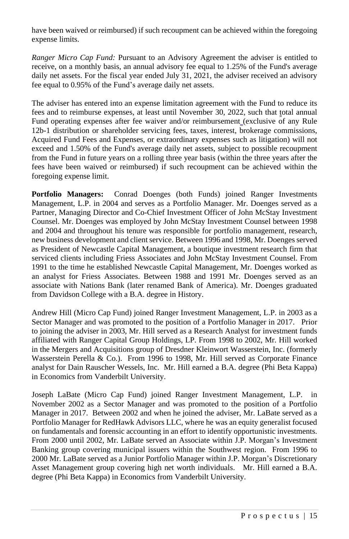have been waived or reimbursed) if such recoupment can be achieved within the foregoing expense limits.

*Ranger Micro Cap Fund:* Pursuant to an Advisory Agreement the adviser is entitled to receive, on a monthly basis, an annual advisory fee equal to 1.25% of the Fund's average daily net assets. For the fiscal year ended July 31, 2021, the adviser received an advisory fee equal to 0.95% of the Fund's average daily net assets.

The adviser has entered into an expense limitation agreement with the Fund to reduce its fees and to reimburse expenses, at least until November 30, 2022, such that total annual Fund operating expenses after fee waiver and/or reimbursement (exclusive of any Rule 12b-1 distribution or shareholder servicing fees, taxes, interest, brokerage commissions, Acquired Fund Fees and Expenses, or extraordinary expenses such as litigation) will not exceed and 1.50% of the Fund's average daily net assets, subject to possible recoupment from the Fund in future years on a rolling three year basis (within the three years after the fees have been waived or reimbursed) if such recoupment can be achieved within the foregoing expense limit.

**Portfolio Managers:** Conrad Doenges (both Funds) joined Ranger Investments Management, L.P. in 2004 and serves as a Portfolio Manager. Mr. Doenges served as a Partner, Managing Director and Co-Chief Investment Officer of John McStay Investment Counsel. Mr. Doenges was employed by John McStay Investment Counsel between 1998 and 2004 and throughout his tenure was responsible for portfolio management, research, new business development and client service. Between 1996 and 1998, Mr. Doenges served as President of Newcastle Capital Management, a boutique investment research firm that serviced clients including Friess Associates and John McStay Investment Counsel. From 1991 to the time he established Newcastle Capital Management, Mr. Doenges worked as an analyst for Friess Associates. Between 1988 and 1991 Mr. Doenges served as an associate with Nations Bank (later renamed Bank of America). Mr. Doenges graduated from Davidson College with a B.A. degree in History.

Andrew Hill (Micro Cap Fund) joined Ranger Investment Management, L.P. in 2003 as a Sector Manager and was promoted to the position of a Portfolio Manager in 2017. Prior to joining the adviser in 2003, Mr. Hill served as a Research Analyst for investment funds affiliated with Ranger Capital Group Holdings, LP. From 1998 to 2002, Mr. Hill worked in the Mergers and Acquisitions group of Dresdner Kleinwort Wasserstein, Inc. (formerly Wasserstein Perella & Co.). From 1996 to 1998, Mr. Hill served as Corporate Finance analyst for Dain Rauscher Wessels, Inc. Mr. Hill earned a B.A. degree (Phi Beta Kappa) in Economics from Vanderbilt University.

Joseph LaBate (Micro Cap Fund) joined Ranger Investment Management, L.P. in November 2002 as a Sector Manager and was promoted to the position of a Portfolio Manager in 2017. Between 2002 and when he joined the adviser, Mr. LaBate served as a Portfolio Manager for RedHawk Advisors LLC, where he was an equity generalist focused on fundamentals and forensic accounting in an effort to identify opportunistic investments. From 2000 until 2002, Mr. LaBate served an Associate within J.P. Morgan's Investment Banking group covering municipal issuers within the Southwest region. From 1996 to 2000 Mr. LaBate served as a Junior Portfolio Manager within J.P. Morgan's Discretionary Asset Management group covering high net worth individuals. Mr. Hill earned a B.A. degree (Phi Beta Kappa) in Economics from Vanderbilt University.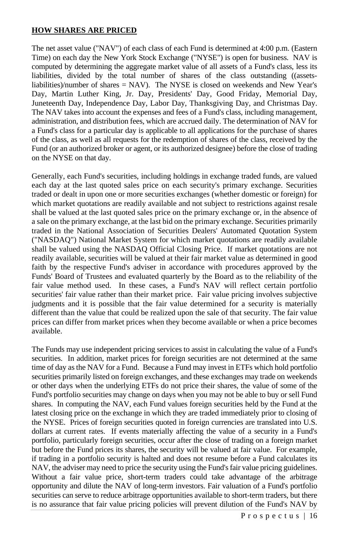## **HOW SHARES ARE PRICED**

The net asset value ("NAV") of each class of each Fund is determined at 4:00 p.m. (Eastern Time) on each day the New York Stock Exchange ("NYSE") is open for business. NAV is computed by determining the aggregate market value of all assets of a Fund's class, less its liabilities, divided by the total number of shares of the class outstanding ((assetsliabilities)/number of shares = NAV). The NYSE is closed on weekends and New Year's Day, Martin Luther King, Jr. Day, Presidents' Day, Good Friday, Memorial Day, Juneteenth Day, Independence Day, Labor Day, Thanksgiving Day, and Christmas Day. The NAV takes into account the expenses and fees of a Fund's class, including management, administration, and distribution fees, which are accrued daily. The determination of NAV for a Fund's class for a particular day is applicable to all applications for the purchase of shares of the class, as well as all requests for the redemption of shares of the class, received by the Fund (or an authorized broker or agent, or its authorized designee) before the close of trading on the NYSE on that day.

Generally, each Fund's securities, including holdings in exchange traded funds, are valued each day at the last quoted sales price on each security's primary exchange. Securities traded or dealt in upon one or more securities exchanges (whether domestic or foreign) for which market quotations are readily available and not subject to restrictions against resale shall be valued at the last quoted sales price on the primary exchange or, in the absence of a sale on the primary exchange, at the last bid on the primary exchange. Securities primarily traded in the National Association of Securities Dealers' Automated Quotation System ("NASDAQ") National Market System for which market quotations are readily available shall be valued using the NASDAQ Official Closing Price. If market quotations are not readily available, securities will be valued at their fair market value as determined in good faith by the respective Fund's adviser in accordance with procedures approved by the Funds' Board of Trustees and evaluated quarterly by the Board as to the reliability of the fair value method used. In these cases, a Fund's NAV will reflect certain portfolio securities' fair value rather than their market price. Fair value pricing involves subjective judgments and it is possible that the fair value determined for a security is materially different than the value that could be realized upon the sale of that security. The fair value prices can differ from market prices when they become available or when a price becomes available.

The Funds may use independent pricing services to assist in calculating the value of a Fund's securities. In addition, market prices for foreign securities are not determined at the same time of day as the NAV for a Fund. Because a Fund may invest in ETFs which hold portfolio securities primarily listed on foreign exchanges, and these exchanges may trade on weekends or other days when the underlying ETFs do not price their shares, the value of some of the Fund's portfolio securities may change on days when you may not be able to buy or sell Fund shares. In computing the NAV, each Fund values foreign securities held by the Fund at the latest closing price on the exchange in which they are traded immediately prior to closing of the NYSE. Prices of foreign securities quoted in foreign currencies are translated into U.S. dollars at current rates. If events materially affecting the value of a security in a Fund's portfolio, particularly foreign securities, occur after the close of trading on a foreign market but before the Fund prices its shares, the security will be valued at fair value. For example, if trading in a portfolio security is halted and does not resume before a Fund calculates its NAV, the adviser may need to price the security using the Fund'sfair value pricing guidelines. Without a fair value price, short-term traders could take advantage of the arbitrage opportunity and dilute the NAV of long-term investors. Fair valuation of a Fund's portfolio securities can serve to reduce arbitrage opportunities available to short-term traders, but there is no assurance that fair value pricing policies will prevent dilution of the Fund's NAV by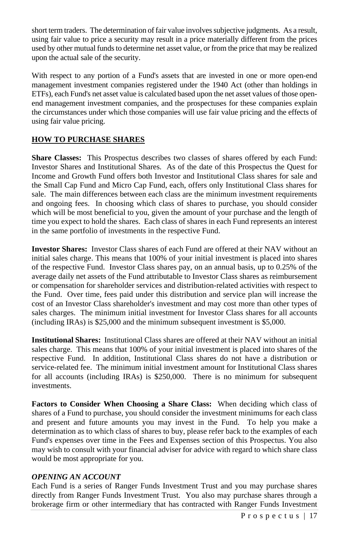short term traders. The determination of fair value involves subjective judgments. As a result, using fair value to price a security may result in a price materially different from the prices used by other mutual funds to determine net asset value, or from the price that may be realized upon the actual sale of the security.

With respect to any portion of a Fund's assets that are invested in one or more open-end management investment companies registered under the 1940 Act (other than holdings in ETFs), each Fund's net asset value is calculated based upon the net asset values of those openend management investment companies, and the prospectuses for these companies explain the circumstances under which those companies will use fair value pricing and the effects of using fair value pricing.

## **HOW TO PURCHASE SHARES**

**Share Classes:** This Prospectus describes two classes of shares offered by each Fund: Investor Shares and Institutional Shares. As of the date of this Prospectus the Quest for Income and Growth Fund offers both Investor and Institutional Class shares for sale and the Small Cap Fund and Micro Cap Fund, each, offers only Institutional Class shares for sale. The main differences between each class are the minimum investment requirements and ongoing fees. In choosing which class of shares to purchase, you should consider which will be most beneficial to you, given the amount of your purchase and the length of time you expect to hold the shares. Each class of shares in each Fund represents an interest in the same portfolio of investments in the respective Fund.

**Investor Shares:** Investor Class shares of each Fund are offered at their NAV without an initial sales charge. This means that 100% of your initial investment is placed into shares of the respective Fund. Investor Class shares pay, on an annual basis, up to 0.25% of the average daily net assets of the Fund attributable to Investor Class shares as reimbursement or compensation for shareholder services and distribution-related activities with respect to the Fund. Over time, fees paid under this distribution and service plan will increase the cost of an Investor Class shareholder's investment and may cost more than other types of sales charges. The minimum initial investment for Investor Class shares for all accounts (including IRAs) is \$25,000 and the minimum subsequent investment is \$5,000.

**Institutional Shares:** Institutional Class shares are offered at their NAV without an initial sales charge. This means that 100% of your initial investment is placed into shares of the respective Fund. In addition, Institutional Class shares do not have a distribution or service-related fee. The minimum initial investment amount for Institutional Class shares for all accounts (including IRAs) is \$250,000. There is no minimum for subsequent investments.

**Factors to Consider When Choosing a Share Class:** When deciding which class of shares of a Fund to purchase, you should consider the investment minimums for each class and present and future amounts you may invest in the Fund. To help you make a determination as to which class of shares to buy, please refer back to the examples of each Fund's expenses over time in the Fees and Expenses section of this Prospectus. You also may wish to consult with your financial adviser for advice with regard to which share class would be most appropriate for you.

#### *OPENING AN ACCOUNT*

Each Fund is a series of Ranger Funds Investment Trust and you may purchase shares directly from Ranger Funds Investment Trust. You also may purchase shares through a brokerage firm or other intermediary that has contracted with Ranger Funds Investment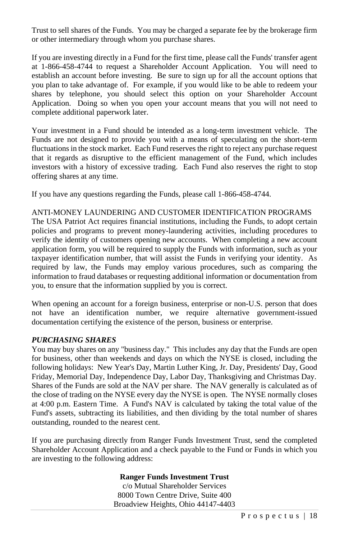Trust to sell shares of the Funds. You may be charged a separate fee by the brokerage firm or other intermediary through whom you purchase shares.

If you are investing directly in a Fund for the first time, please call the Funds' transfer agent at 1-866-458-4744 to request a Shareholder Account Application. You will need to establish an account before investing. Be sure to sign up for all the account options that you plan to take advantage of. For example, if you would like to be able to redeem your shares by telephone, you should select this option on your Shareholder Account Application. Doing so when you open your account means that you will not need to complete additional paperwork later.

Your investment in a Fund should be intended as a long-term investment vehicle. The Funds are not designed to provide you with a means of speculating on the short-term fluctuations in the stock market. Each Fund reserves the right to reject any purchase request that it regards as disruptive to the efficient management of the Fund, which includes investors with a history of excessive trading. Each Fund also reserves the right to stop offering shares at any time.

If you have any questions regarding the Funds, please call 1-866-458-4744.

#### ANTI-MONEY LAUNDERING AND CUSTOMER IDENTIFICATION PROGRAMS

The USA Patriot Act requires financial institutions, including the Funds, to adopt certain policies and programs to prevent money-laundering activities, including procedures to verify the identity of customers opening new accounts. When completing a new account application form, you will be required to supply the Funds with information, such as your taxpayer identification number, that will assist the Funds in verifying your identity. As required by law, the Funds may employ various procedures, such as comparing the information to fraud databases or requesting additional information or documentation from you, to ensure that the information supplied by you is correct.

When opening an account for a foreign business, enterprise or non-U.S. person that does not have an identification number, we require alternative government-issued documentation certifying the existence of the person, business or enterprise.

#### *PURCHASING SHARES*

You may buy shares on any "business day." This includes any day that the Funds are open for business, other than weekends and days on which the NYSE is closed, including the following holidays: New Year's Day, Martin Luther King, Jr. Day, Presidents' Day, Good Friday, Memorial Day, Independence Day, Labor Day, Thanksgiving and Christmas Day. Shares of the Funds are sold at the NAV per share. The NAV generally is calculated as of the close of trading on the NYSE every day the NYSE is open. The NYSE normally closes at 4:00 p.m. Eastern Time. A Fund's NAV is calculated by taking the total value of the Fund's assets, subtracting its liabilities, and then dividing by the total number of shares outstanding, rounded to the nearest cent.

If you are purchasing directly from Ranger Funds Investment Trust, send the completed Shareholder Account Application and a check payable to the Fund or Funds in which you are investing to the following address:

#### **Ranger Funds Investment Trust**

c/o Mutual Shareholder Services 8000 Town Centre Drive, Suite 400 Broadview Heights, Ohio 44147-4403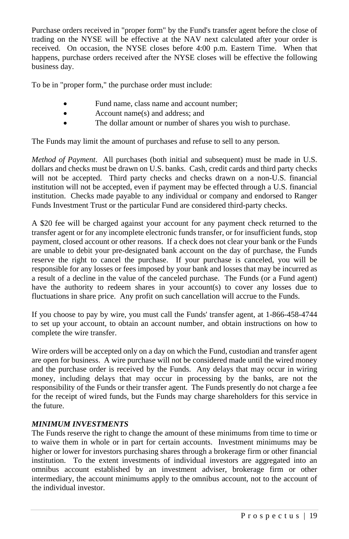Purchase orders received in "proper form" by the Fund's transfer agent before the close of trading on the NYSE will be effective at the NAV next calculated after your order is received. On occasion, the NYSE closes before 4:00 p.m. Eastern Time. When that happens, purchase orders received after the NYSE closes will be effective the following business day.

To be in "proper form," the purchase order must include:

- Fund name, class name and account number;
- Account name(s) and address; and
- The dollar amount or number of shares you wish to purchase.

The Funds may limit the amount of purchases and refuse to sell to any person.

*Method of Payment*. All purchases (both initial and subsequent) must be made in U.S. dollars and checks must be drawn on U.S. banks. Cash, credit cards and third party checks will not be accepted. Third party checks and checks drawn on a non-U.S. financial institution will not be accepted, even if payment may be effected through a U.S. financial institution. Checks made payable to any individual or company and endorsed to Ranger Funds Investment Trust or the particular Fund are considered third-party checks.

A \$20 fee will be charged against your account for any payment check returned to the transfer agent or for any incomplete electronic funds transfer, or for insufficient funds, stop payment, closed account or other reasons. If a check does not clear your bank or the Funds are unable to debit your pre-designated bank account on the day of purchase, the Funds reserve the right to cancel the purchase. If your purchase is canceled, you will be responsible for any losses or fees imposed by your bank and losses that may be incurred as a result of a decline in the value of the canceled purchase. The Funds (or a Fund agent) have the authority to redeem shares in your account(s) to cover any losses due to fluctuations in share price. Any profit on such cancellation will accrue to the Funds.

If you choose to pay by wire, you must call the Funds' transfer agent, at 1-866-458-4744 to set up your account, to obtain an account number, and obtain instructions on how to complete the wire transfer.

Wire orders will be accepted only on a day on which the Fund, custodian and transfer agent are open for business. A wire purchase will not be considered made until the wired money and the purchase order is received by the Funds. Any delays that may occur in wiring money, including delays that may occur in processing by the banks, are not the responsibility of the Funds or their transfer agent. The Funds presently do not charge a fee for the receipt of wired funds, but the Funds may charge shareholders for this service in the future.

## *MINIMUM INVESTMENTS*

The Funds reserve the right to change the amount of these minimums from time to time or to waive them in whole or in part for certain accounts. Investment minimums may be higher or lower for investors purchasing shares through a brokerage firm or other financial institution. To the extent investments of individual investors are aggregated into an omnibus account established by an investment adviser, brokerage firm or other intermediary, the account minimums apply to the omnibus account, not to the account of the individual investor.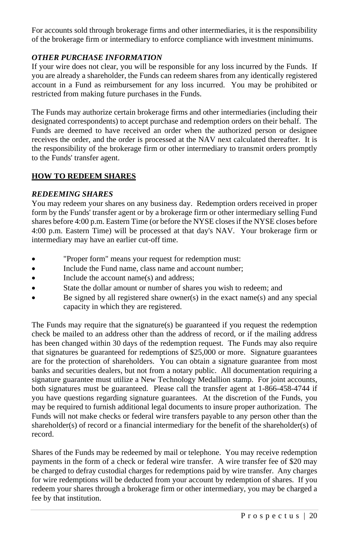For accounts sold through brokerage firms and other intermediaries, it is the responsibility of the brokerage firm or intermediary to enforce compliance with investment minimums.

## *OTHER PURCHASE INFORMATION*

If your wire does not clear, you will be responsible for any loss incurred by the Funds. If you are already a shareholder, the Funds can redeem shares from any identically registered account in a Fund as reimbursement for any loss incurred. You may be prohibited or restricted from making future purchases in the Funds.

The Funds may authorize certain brokerage firms and other intermediaries (including their designated correspondents) to accept purchase and redemption orders on their behalf. The Funds are deemed to have received an order when the authorized person or designee receives the order, and the order is processed at the NAV next calculated thereafter. It is the responsibility of the brokerage firm or other intermediary to transmit orders promptly to the Funds' transfer agent.

## **HOW TO REDEEM SHARES**

#### *REDEEMING SHARES*

You may redeem your shares on any business day. Redemption orders received in proper form by the Funds' transfer agent or by a brokerage firm or other intermediary selling Fund shares before 4:00 p.m. Eastern Time (or before the NYSE closesif the NYSE closes before 4:00 p.m. Eastern Time) will be processed at that day's NAV. Your brokerage firm or intermediary may have an earlier cut-off time.

- "Proper form" means your request for redemption must:
- Include the Fund name, class name and account number;
- Include the account name(s) and address:
- State the dollar amount or number of shares you wish to redeem; and
- Be signed by all registered share owner(s) in the exact name(s) and any special capacity in which they are registered.

The Funds may require that the signature(s) be guaranteed if you request the redemption check be mailed to an address other than the address of record, or if the mailing address has been changed within 30 days of the redemption request. The Funds may also require that signatures be guaranteed for redemptions of \$25,000 or more. Signature guarantees are for the protection of shareholders. You can obtain a signature guarantee from most banks and securities dealers, but not from a notary public. All documentation requiring a signature guarantee must utilize a New Technology Medallion stamp. For joint accounts, both signatures must be guaranteed. Please call the transfer agent at 1-866-458-4744 if you have questions regarding signature guarantees. At the discretion of the Funds, you may be required to furnish additional legal documents to insure proper authorization. The Funds will not make checks or federal wire transfers payable to any person other than the shareholder(s) of record or a financial intermediary for the benefit of the shareholder(s) of record.

Shares of the Funds may be redeemed by mail or telephone. You may receive redemption payments in the form of a check or federal wire transfer. A wire transfer fee of \$20 may be charged to defray custodial charges for redemptions paid by wire transfer. Any charges for wire redemptions will be deducted from your account by redemption of shares. If you redeem your shares through a brokerage firm or other intermediary, you may be charged a fee by that institution.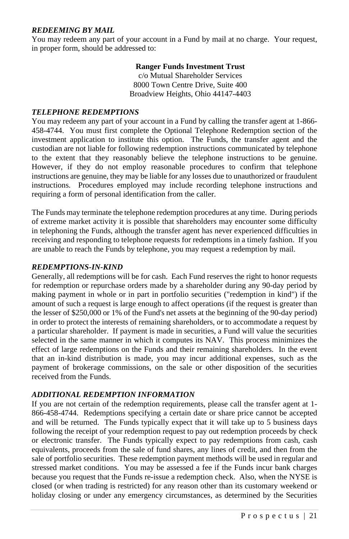#### *REDEEMING BY MAIL*

You may redeem any part of your account in a Fund by mail at no charge. Your request, in proper form, should be addressed to:

#### **Ranger Funds Investment Trust**

c/o Mutual Shareholder Services 8000 Town Centre Drive, Suite 400 Broadview Heights, Ohio 44147-4403

#### *TELEPHONE REDEMPTIONS*

You may redeem any part of your account in a Fund by calling the transfer agent at 1-866- 458-4744. You must first complete the Optional Telephone Redemption section of the investment application to institute this option. The Funds, the transfer agent and the custodian are not liable for following redemption instructions communicated by telephone to the extent that they reasonably believe the telephone instructions to be genuine. However, if they do not employ reasonable procedures to confirm that telephone instructions are genuine, they may be liable for any losses due to unauthorized or fraudulent instructions. Procedures employed may include recording telephone instructions and requiring a form of personal identification from the caller.

The Funds may terminate the telephone redemption procedures at any time. During periods of extreme market activity it is possible that shareholders may encounter some difficulty in telephoning the Funds, although the transfer agent has never experienced difficulties in receiving and responding to telephone requests for redemptions in a timely fashion. If you are unable to reach the Funds by telephone, you may request a redemption by mail.

#### *REDEMPTIONS-IN-KIND*

Generally, all redemptions will be for cash. Each Fund reserves the right to honor requests for redemption or repurchase orders made by a shareholder during any 90-day period by making payment in whole or in part in portfolio securities ("redemption in kind") if the amount of such a request is large enough to affect operations (if the request is greater than the lesser of \$250,000 or 1% of the Fund's net assets at the beginning of the 90-day period) in order to protect the interests of remaining shareholders, or to accommodate a request by a particular shareholder. If payment is made in securities, a Fund will value the securities selected in the same manner in which it computes its NAV. This process minimizes the effect of large redemptions on the Funds and their remaining shareholders. In the event that an in-kind distribution is made, you may incur additional expenses, such as the payment of brokerage commissions, on the sale or other disposition of the securities received from the Funds.

## *ADDITIONAL REDEMPTION INFORMATION*

If you are not certain of the redemption requirements, please call the transfer agent at 1- 866-458-4744. Redemptions specifying a certain date or share price cannot be accepted and will be returned. The Funds typically expect that it will take up to 5 business days following the receipt of your redemption request to pay out redemption proceeds by check or electronic transfer. The Funds typically expect to pay redemptions from cash, cash equivalents, proceeds from the sale of fund shares, any lines of credit, and then from the sale of portfolio securities. These redemption payment methods will be used in regular and stressed market conditions. You may be assessed a fee if the Funds incur bank charges because you request that the Funds re-issue a redemption check. Also, when the NYSE is closed (or when trading is restricted) for any reason other than its customary weekend or holiday closing or under any emergency circumstances, as determined by the Securities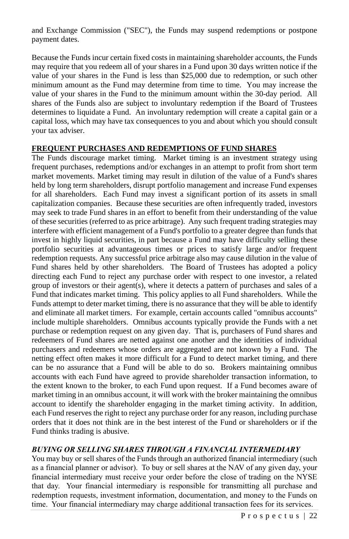and Exchange Commission ("SEC"), the Funds may suspend redemptions or postpone payment dates.

Because the Funds incur certain fixed costs in maintaining shareholder accounts, the Funds may require that you redeem all of your shares in a Fund upon 30 days written notice if the value of your shares in the Fund is less than \$25,000 due to redemption, or such other minimum amount as the Fund may determine from time to time. You may increase the value of your shares in the Fund to the minimum amount within the 30-day period. All shares of the Funds also are subject to involuntary redemption if the Board of Trustees determines to liquidate a Fund. An involuntary redemption will create a capital gain or a capital loss, which may have tax consequences to you and about which you should consult your tax adviser.

#### **FREQUENT PURCHASES AND REDEMPTIONS OF FUND SHARES**

The Funds discourage market timing. Market timing is an investment strategy using frequent purchases, redemptions and/or exchanges in an attempt to profit from short term market movements. Market timing may result in dilution of the value of a Fund's shares held by long term shareholders, disrupt portfolio management and increase Fund expenses for all shareholders. Each Fund may invest a significant portion of its assets in small capitalization companies. Because these securities are often infrequently traded, investors may seek to trade Fund shares in an effort to benefit from their understanding of the value of these securities (referred to as price arbitrage). Any such frequent trading strategies may interfere with efficient management of a Fund's portfolio to a greater degree than funds that invest in highly liquid securities, in part because a Fund may have difficulty selling these portfolio securities at advantageous times or prices to satisfy large and/or frequent redemption requests. Any successful price arbitrage also may cause dilution in the value of Fund shares held by other shareholders. The Board of Trustees has adopted a policy directing each Fund to reject any purchase order with respect to one investor, a related group of investors or their agent(s), where it detects a pattern of purchases and sales of a Fund that indicates market timing. This policy applies to all Fund shareholders. While the Funds attempt to deter market timing, there is no assurance that they will be able to identify and eliminate all market timers. For example, certain accounts called "omnibus accounts" include multiple shareholders. Omnibus accounts typically provide the Funds with a net purchase or redemption request on any given day. That is, purchasers of Fund shares and redeemers of Fund shares are netted against one another and the identities of individual purchasers and redeemers whose orders are aggregated are not known by a Fund. The netting effect often makes it more difficult for a Fund to detect market timing, and there can be no assurance that a Fund will be able to do so. Brokers maintaining omnibus accounts with each Fund have agreed to provide shareholder transaction information, to the extent known to the broker, to each Fund upon request. If a Fund becomes aware of market timing in an omnibus account, it will work with the broker maintaining the omnibus account to identify the shareholder engaging in the market timing activity. In addition, each Fund reserves the right to reject any purchase order for any reason, including purchase orders that it does not think are in the best interest of the Fund or shareholders or if the Fund thinks trading is abusive.

## *BUYING OR SELLING SHARES THROUGH A FINANCIAL INTERMEDIARY*

You may buy or sell shares of the Funds through an authorized financial intermediary (such as a financial planner or advisor). To buy or sell shares at the NAV of any given day, your financial intermediary must receive your order before the close of trading on the NYSE that day. Your financial intermediary is responsible for transmitting all purchase and redemption requests, investment information, documentation, and money to the Funds on time. Your financial intermediary may charge additional transaction fees for its services.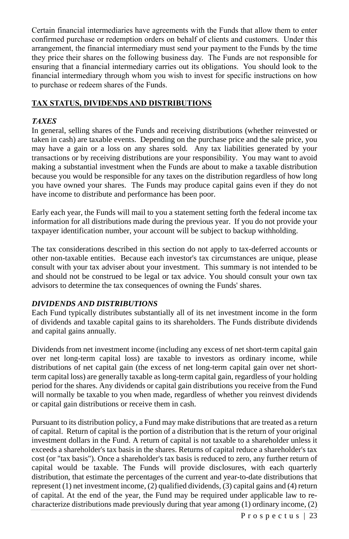Certain financial intermediaries have agreements with the Funds that allow them to enter confirmed purchase or redemption orders on behalf of clients and customers. Under this arrangement, the financial intermediary must send your payment to the Funds by the time they price their shares on the following business day. The Funds are not responsible for ensuring that a financial intermediary carries out its obligations. You should look to the financial intermediary through whom you wish to invest for specific instructions on how to purchase or redeem shares of the Funds.

## **TAX STATUS, DIVIDENDS AND DISTRIBUTIONS**

#### *TAXES*

In general, selling shares of the Funds and receiving distributions (whether reinvested or taken in cash) are taxable events. Depending on the purchase price and the sale price, you may have a gain or a loss on any shares sold. Any tax liabilities generated by your transactions or by receiving distributions are your responsibility. You may want to avoid making a substantial investment when the Funds are about to make a taxable distribution because you would be responsible for any taxes on the distribution regardless of how long you have owned your shares. The Funds may produce capital gains even if they do not have income to distribute and performance has been poor.

Early each year, the Funds will mail to you a statement setting forth the federal income tax information for all distributions made during the previous year. If you do not provide your taxpayer identification number, your account will be subject to backup withholding.

The tax considerations described in this section do not apply to tax-deferred accounts or other non-taxable entities. Because each investor's tax circumstances are unique, please consult with your tax adviser about your investment. This summary is not intended to be and should not be construed to be legal or tax advice. You should consult your own tax advisors to determine the tax consequences of owning the Funds' shares.

#### *DIVIDENDS AND DISTRIBUTIONS*

Each Fund typically distributes substantially all of its net investment income in the form of dividends and taxable capital gains to its shareholders. The Funds distribute dividends and capital gains annually.

Dividends from net investment income (including any excess of net short-term capital gain over net long-term capital loss) are taxable to investors as ordinary income, while distributions of net capital gain (the excess of net long-term capital gain over net shortterm capital loss) are generally taxable as long-term capital gain, regardless of your holding period for the shares. Any dividends or capital gain distributions you receive from the Fund will normally be taxable to you when made, regardless of whether you reinvest dividends or capital gain distributions or receive them in cash.

Pursuant to its distribution policy, a Fund may make distributions that are treated as a return of capital. Return of capital is the portion of a distribution that is the return of your original investment dollars in the Fund. A return of capital is not taxable to a shareholder unless it exceeds a shareholder's tax basis in the shares. Returns of capital reduce a shareholder's tax cost (or "tax basis"). Once a shareholder's tax basis is reduced to zero, any further return of capital would be taxable. The Funds will provide disclosures, with each quarterly distribution, that estimate the percentages of the current and year-to-date distributions that represent (1) net investment income, (2) qualified dividends, (3) capital gains and (4) return of capital. At the end of the year, the Fund may be required under applicable law to recharacterize distributions made previously during that year among (1) ordinary income, (2)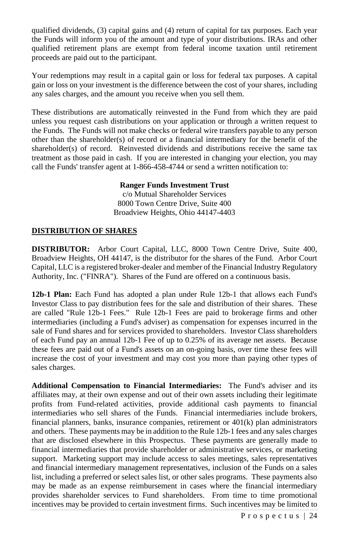qualified dividends, (3) capital gains and (4) return of capital for tax purposes. Each year the Funds will inform you of the amount and type of your distributions. IRAs and other qualified retirement plans are exempt from federal income taxation until retirement proceeds are paid out to the participant.

Your redemptions may result in a capital gain or loss for federal tax purposes. A capital gain or loss on your investment is the difference between the cost of your shares, including any sales charges, and the amount you receive when you sell them.

These distributions are automatically reinvested in the Fund from which they are paid unless you request cash distributions on your application or through a written request to the Funds. The Funds will not make checks or federal wire transfers payable to any person other than the shareholder(s) of record or a financial intermediary for the benefit of the shareholder(s) of record. Reinvested dividends and distributions receive the same tax treatment as those paid in cash. If you are interested in changing your election, you may call the Funds' transfer agent at 1-866-458-4744 or send a written notification to:

#### **Ranger Funds Investment Trust**

c/o Mutual Shareholder Services 8000 Town Centre Drive, Suite 400 Broadview Heights, Ohio 44147-4403

#### **DISTRIBUTION OF SHARES**

**DISTRIBUTOR:** Arbor Court Capital, LLC, 8000 Town Centre Drive, Suite 400, Broadview Heights, OH 44147, is the distributor for the shares of the Fund. Arbor Court Capital, LLC is a registered broker-dealer and member of the Financial Industry Regulatory Authority, Inc. ("FINRA"). Shares of the Fund are offered on a continuous basis.

**12b-1 Plan:** Each Fund has adopted a plan under Rule 12b-1 that allows each Fund's Investor Class to pay distribution fees for the sale and distribution of their shares. These are called "Rule 12b-1 Fees." Rule 12b-1 Fees are paid to brokerage firms and other intermediaries (including a Fund's adviser) as compensation for expenses incurred in the sale of Fund shares and for services provided to shareholders. Investor Class shareholders of each Fund pay an annual 12b-1 Fee of up to 0.25% of its average net assets. Because these fees are paid out of a Fund's assets on an on-going basis, over time these fees will increase the cost of your investment and may cost you more than paying other types of sales charges.

**Additional Compensation to Financial Intermediaries:** The Fund's adviser and its affiliates may, at their own expense and out of their own assets including their legitimate profits from Fund-related activities, provide additional cash payments to financial intermediaries who sell shares of the Funds. Financial intermediaries include brokers, financial planners, banks, insurance companies, retirement or  $401(k)$  plan administrators and others. These payments may be in addition to the Rule 12b-1 fees and any sales charges that are disclosed elsewhere in this Prospectus. These payments are generally made to financial intermediaries that provide shareholder or administrative services, or marketing support. Marketing support may include access to sales meetings, sales representatives and financial intermediary management representatives, inclusion of the Funds on a sales list, including a preferred or select sales list, or other sales programs. These payments also may be made as an expense reimbursement in cases where the financial intermediary provides shareholder services to Fund shareholders. From time to time promotional incentives may be provided to certain investment firms. Such incentives may be limited to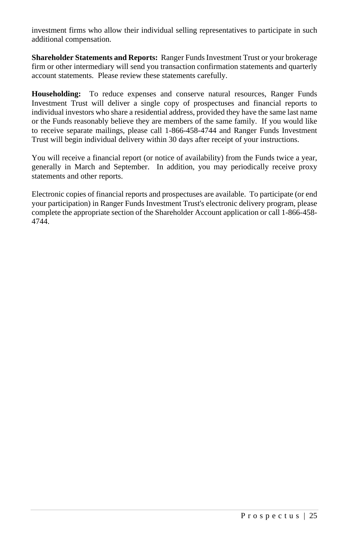investment firms who allow their individual selling representatives to participate in such additional compensation.

**Shareholder Statements and Reports:** Ranger FundsInvestment Trust or your brokerage firm or other intermediary will send you transaction confirmation statements and quarterly account statements. Please review these statements carefully.

**Householding:** To reduce expenses and conserve natural resources, Ranger Funds Investment Trust will deliver a single copy of prospectuses and financial reports to individual investors who share a residential address, provided they have the same last name or the Funds reasonably believe they are members of the same family. If you would like to receive separate mailings, please call 1-866-458-4744 and Ranger Funds Investment Trust will begin individual delivery within 30 days after receipt of your instructions.

You will receive a financial report (or notice of availability) from the Funds twice a year, generally in March and September. In addition, you may periodically receive proxy statements and other reports.

Electronic copies of financial reports and prospectuses are available. To participate (or end your participation) in Ranger Funds Investment Trust's electronic delivery program, please complete the appropriate section of the Shareholder Account application or call 1-866-458- 4744.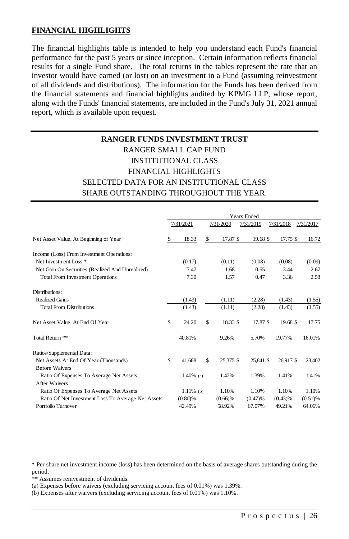#### **FINANCIAL HIGHLIGHTS**

The financial highlights table is intended to help you understand each Fund's financial performance for the past 5 years or since inception. Certain information reflects financial results for a single Fund share. The total returns in the tables represent the rate that an investor would have earned (or lost) on an investment in a Fund (assuming reinvestment of all dividends and distributions). The information for the Funds has been derived from the financial statements and financial highlights audited by KPMG LLP, whose report, along with the Funds' financial statements, are included in the Fund's July 31, 2021 annual report, which is available upon request.

# **RANGER FUNDS INVESTMENT TRUST** RANGER SMALL CAP FUND INSTITUTIONAL CLASS FINANCIAL HIGHLIGHTS SELECTED DATA FOR AN INSTITUTIONAL CLASS SHARE OUTSTANDING THROUGHOUT THE YEAR.

|                                                    | <b>Years Ended</b> |              |    |           |           |           |           |
|----------------------------------------------------|--------------------|--------------|----|-----------|-----------|-----------|-----------|
|                                                    |                    | 7/31/2021    |    | 7/31/2020 | 7/31/2019 | 7/31/2018 | 7/31/2017 |
| Net Asset Value, At Beginning of Year              | S                  | 18.33        | S  | 17.87 \$  | 19.68 \$  | 17.75 \$  | 16.72     |
| Income (Loss) From Investment Operations:          |                    |              |    |           |           |           |           |
| Net Investment Loss <sup>*</sup>                   |                    | (0.17)       |    | (0.11)    | (0.08)    | (0.08)    | (0.09)    |
| Net Gain On Securities (Realized And Unrealized)   |                    | 7.47         |    | 1.68      | 0.55      | 3.44      | 2.67      |
| <b>Total From Investment Operations</b>            |                    | 7.30         |    | 1.57      | 0.47      | 3.36      | 2.58      |
| Distributions:                                     |                    |              |    |           |           |           |           |
| <b>Realized Gains</b>                              |                    | (1.43)       |    | (1.11)    | (2.28)    | (1.43)    | (1.55)    |
| <b>Total From Distributions</b>                    |                    | (1.43)       |    | (1.11)    | (2.28)    | (1.43)    | (1.55)    |
| Net Asset Value, At End Of Year                    | S                  | 24.20        | \$ | 18.33 \$  | 17.87 \$  | 19.68 \$  | 17.75     |
| Total Return <sup>**</sup>                         |                    | 40.81%       |    | 9.26%     | 5.70%     | 19.77%    | 16.01%    |
| Ratios/Supplemental Data:                          |                    |              |    |           |           |           |           |
| Net Assets At End Of Year (Thousands)              | \$                 | 41.688       | \$ | 25.375 \$ | 25,841 \$ | 26.917 \$ | 23,402    |
| <b>Before Waivers</b>                              |                    |              |    |           |           |           |           |
| Ratio Of Expenses To Average Net Assets            |                    | $1.40\%$ (a) |    | 1.42%     | 1.39%     | 1.41%     | 1.41%     |
| <b>After Waivers</b>                               |                    |              |    |           |           |           |           |
| Ratio Of Expenses To Average Net Assets            |                    | $1.11\%$ (b) |    | 1.10%     | 1.10%     | 1.10%     | 1.10%     |
| Ratio Of Net Investment Loss To Average Net Assets |                    | $(0.80)$ %   |    | (0.66)%   | (0.47)%   | (0.43)%   | (0.51)%   |
| Portfolio Turnover                                 |                    | 42.49%       |    | 58.92%    | 67.07%    | 49.21%    | 64.06%    |

\* Per share net investment income (loss) has been determined on the basis of average shares outstanding during the period.

\*\* Assumes reinvestment of dividends.

(a) Expenses before waivers (excluding servicing account fees of 0.01%) was 1.39%.

(b) Expenses after waivers (excluding servicing account fees of 0.01%) was 1.10%.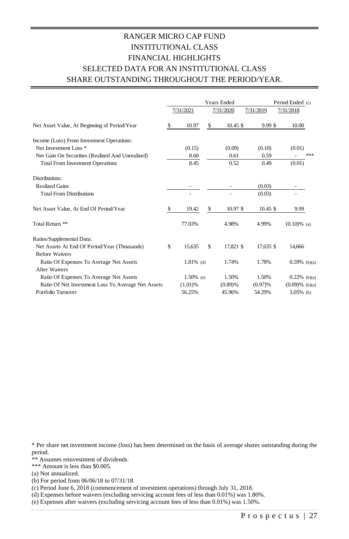## RANGER MICRO CAP FUND INSTITUTIONAL CLASS FINANCIAL HIGHLIGHTS SELECTED DATA FOR AN INSTITUTIONAL CLASS SHARE OUTSTANDING THROUGHOUT THE PERIOD/YEAR.

|                                                    |    |              |    | <b>Years Ended</b> |            | Period Ended (c)  |
|----------------------------------------------------|----|--------------|----|--------------------|------------|-------------------|
|                                                    |    | 7/31/2021    |    | 7/31/2020          | 7/31/2019  | 7/31/2018         |
| Net Asset Value, At Beginning of Period/Year       | \$ | 10.97        | \$ | $10.45$ \$         | 9.99S      | 10.00             |
| Income (Loss) From Investment Operations:          |    |              |    |                    |            |                   |
| Net Investment Loss <sup>*</sup>                   |    | (0.15)       |    | (0.09)             | (0.10)     | (0.01)            |
| Net Gain On Securities (Realized And Unrealized)   |    | 8.60         |    | 0.61               | 0.59       | ***               |
| <b>Total From Investment Operations</b>            |    | 8.45         |    | 0.52               | 0.49       | (0.01)            |
| Distributions:                                     |    |              |    |                    |            |                   |
| <b>Realized Gains</b>                              |    |              |    |                    | (0.03)     |                   |
| <b>Total From Distributions</b>                    |    |              |    | ٠                  | (0.03)     |                   |
| Net Asset Value, At End Of Period/Year             | S  | 19.42        | S  | $10.97$ \$         | $10.45$ \$ | 9.99              |
| Total Return **                                    |    | 77.03%       |    | 4.98%              | 4.99%      | $(0.10)\%$ (a)    |
| Ratios/Supplemental Data:                          |    |              |    |                    |            |                   |
| Net Assets At End Of Period/Year (Thousands)       | \$ | 15.635       | S  | 17.821 \$          | 17.635 \$  | 14,666            |
| <b>Before Waivers</b>                              |    |              |    |                    |            |                   |
| Ratio Of Expenses To Average Net Assets            |    | $1.81\%$ (d) |    | 1.74%              | 1.78%      | $0.59%$ (b)(a)    |
| After Waivers                                      |    |              |    |                    |            |                   |
| Ratio Of Expenses To Average Net Assets            |    | $1.50\%$ (e) |    | 1.50%              | 1.50%      | $0.22\%$ (b)(a)   |
| Ratio Of Net Investment Loss To Average Net Assets |    | (1.01)%      |    | (0.89)%            | (0.97)%    | $(0.09)$ % (b)(a) |
| Portfolio Turnover                                 |    | 56.25%       |    | 45.96%             | 54.29%     | $3.05\%$ (b)      |

\* Per share net investment income (loss) has been determined on the basis of average shares outstanding during the period.

\*\* Assumes reinvestment of dividends.

\*\*\* Amount is less than \$0.005.

(a) Not annualized.

(b) For period from 06/06/18 to 07/31/18.

(c) Period June 6, 2018 (commencement of investment operations) through July 31, 2018.

(d) Expenses before waivers (excluding servicing account fees of less than 0.01%) was 1.80%.

(e) Expenses after waivers (excluding servicing account fees of less than 0.01%) was 1.50%.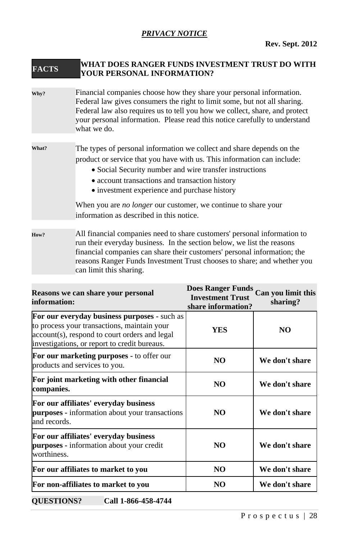## *PRIVACY NOTICE*

## **FACTS WHAT DOES RANGER FUNDS INVESTMENT TRUST DO WITH YOUR PERSONAL INFORMATION?**

**Why?** Financial companies choose how they share your personal information. Federal law gives consumers the right to limit some, but not all sharing. Federal law also requires us to tell you how we collect, share, and protect your personal information. Please read this notice carefully to understand what we do.

## **What?** The types of personal information we collect and share depends on the product or service that you have with us. This information can include:

- Social Security number and wire transfer instructions
- account transactions and transaction history
- investment experience and purchase history

When you are *no longer* our customer, we continue to share your information as described in this notice.

**How?** All financial companies need to share customers' personal information to run their everyday business. In the section below, we list the reasons financial companies can share their customers' personal information; the reasons Ranger Funds Investment Trust chooses to share; and whether you can limit this sharing.

| Reasons we can share your personal<br>information:                                                                                                                                           | <b>Does Ranger Funds</b><br><b>Investment Trust</b><br>share information? | Can you limit this<br>sharing? |
|----------------------------------------------------------------------------------------------------------------------------------------------------------------------------------------------|---------------------------------------------------------------------------|--------------------------------|
| For our everyday business purposes - such as<br>to process your transactions, maintain your<br>account(s), respond to court orders and legal<br>investigations, or report to credit bureaus. | <b>YES</b>                                                                | NO.                            |
| For our marketing purposes - to offer our<br>products and services to you.                                                                                                                   | NO.                                                                       | We don't share                 |
| For joint marketing with other financial<br>companies.                                                                                                                                       | NO.                                                                       | We don't share                 |
| For our affiliates' everyday business<br>purposes - information about your transactions<br>and records.                                                                                      | NO.                                                                       | We don't share                 |
| For our affiliates' everyday business<br><b>purposes</b> - information about your credit<br>worthiness.                                                                                      | NO.                                                                       | We don't share                 |
| For our affiliates to market to you                                                                                                                                                          | NO.                                                                       | We don't share                 |
| For non-affiliates to market to you                                                                                                                                                          | N <sub>O</sub>                                                            | We don't share                 |

**QUESTIONS? Call 1-866-458-4744**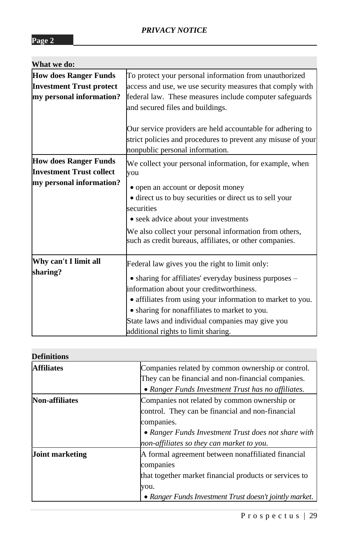| To protect your personal information from unauthorized       |  |  |  |
|--------------------------------------------------------------|--|--|--|
| access and use, we use security measures that comply with    |  |  |  |
| federal law. These measures include computer safeguards      |  |  |  |
| and secured files and buildings.                             |  |  |  |
|                                                              |  |  |  |
| Our service providers are held accountable for adhering to   |  |  |  |
| strict policies and procedures to prevent any misuse of your |  |  |  |
| nonpublic personal information.                              |  |  |  |
| We collect your personal information, for example, when      |  |  |  |
| you                                                          |  |  |  |
| • open an account or deposit money                           |  |  |  |
| · direct us to buy securities or direct us to sell your      |  |  |  |
| securities                                                   |  |  |  |
| • seek advice about your investments                         |  |  |  |
| We also collect your personal information from others,       |  |  |  |
| such as credit bureaus, affiliates, or other companies.      |  |  |  |
|                                                              |  |  |  |
| Federal law gives you the right to limit only:               |  |  |  |
| • sharing for affiliates' everyday business purposes -       |  |  |  |
| information about your creditworthiness.                     |  |  |  |
| • affiliates from using your information to market to you.   |  |  |  |
| • sharing for nonaffiliates to market to you.                |  |  |  |
| State laws and individual companies may give you             |  |  |  |
| additional rights to limit sharing.                          |  |  |  |
|                                                              |  |  |  |

| <b>Definitions</b>     |                                                                                                                                                                                                                    |
|------------------------|--------------------------------------------------------------------------------------------------------------------------------------------------------------------------------------------------------------------|
| <b>Affiliates</b>      | Companies related by common ownership or control.<br>They can be financial and non-financial companies.<br>• Ranger Funds Investment Trust has no affiliates.                                                      |
| <b>Non-affiliates</b>  | Companies not related by common ownership or<br>control. They can be financial and non-financial<br>companies.<br>• Ranger Funds Investment Trust does not share with<br>non-affiliates so they can market to you. |
| <b>Joint marketing</b> | A formal agreement between nonaffiliated financial<br>companies<br>that together market financial products or services to<br>you.<br>• Ranger Funds Investment Trust doesn't jointly market.                       |